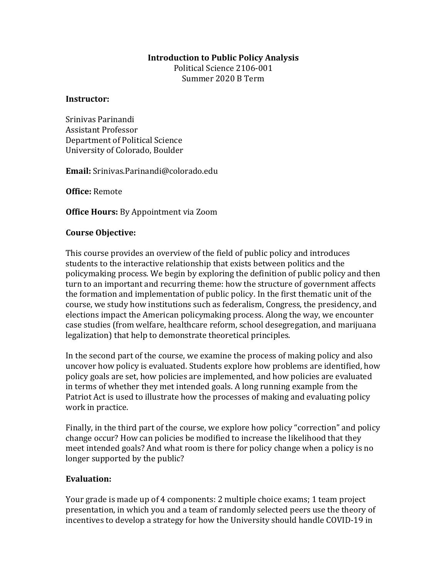### **Introduction to Public Policy Analysis**

Political Science 2106-001 Summer 2020 B Term

#### **Instructor:**

Srinivas Parinandi Assistant Professor Department of Political Science University of Colorado, Boulder

**Email:** Srinivas.Parinandi@colorado.edu

**Office:** Remote

**Office Hours:** By Appointment via Zoom

### **Course Objective:**

This course provides an overview of the field of public policy and introduces students to the interactive relationship that exists between politics and the policymaking process. We begin by exploring the definition of public policy and then turn to an important and recurring theme: how the structure of government affects the formation and implementation of public policy. In the first thematic unit of the course, we study how institutions such as federalism, Congress, the presidency, and elections impact the American policymaking process. Along the way, we encounter case studies (from welfare, healthcare reform, school desegregation, and marijuana legalization) that help to demonstrate theoretical principles.

In the second part of the course, we examine the process of making policy and also uncover how policy is evaluated. Students explore how problems are identified, how policy goals are set, how policies are implemented, and how policies are evaluated in terms of whether they met intended goals. A long running example from the Patriot Act is used to illustrate how the processes of making and evaluating policy work in practice.

Finally, in the third part of the course, we explore how policy "correction" and policy change occur? How can policies be modified to increase the likelihood that they meet intended goals? And what room is there for policy change when a policy is no longer supported by the public?

## **Evaluation:**

Your grade is made up of 4 components: 2 multiple choice exams; 1 team project presentation, in which you and a team of randomly selected peers use the theory of incentives to develop a strategy for how the University should handle COVID-19 in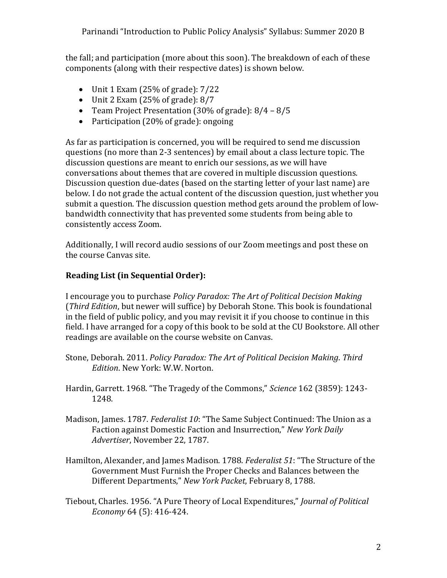the fall; and participation (more about this soon). The breakdown of each of these components (along with their respective dates) is shown below.

- $\bullet$  Unit 1 Exam (25% of grade): 7/22
- $\bullet$  Unit 2 Exam (25% of grade): 8/7
- Team Project Presentation (30% of grade): 8/4 8/5
- Participation (20% of grade): ongoing

As far as participation is concerned, you will be required to send me discussion questions (no more than 2-3 sentences) by email about a class lecture topic. The discussion questions are meant to enrich our sessions, as we will have conversations about themes that are covered in multiple discussion questions. Discussion question due-dates (based on the starting letter of your last name) are below. I do not grade the actual content of the discussion question, just whether you submit a question. The discussion question method gets around the problem of lowbandwidth connectivity that has prevented some students from being able to consistently access Zoom.

Additionally, I will record audio sessions of our Zoom meetings and post these on the course Canvas site.

# **Reading List (in Sequential Order):**

I encourage you to purchase *Policy Paradox: The Art of Political Decision Making*  (*Third Edition*, but newer will suffice) by Deborah Stone. This book is foundational in the field of public policy, and you may revisit it if you choose to continue in this field. I have arranged for a copy of this book to be sold at the CU Bookstore. All other readings are available on the course website on Canvas.

- Stone, Deborah. 2011. *Policy Paradox: The Art of Political Decision Making*. *Third Edition*. New York: W.W. Norton.
- Hardin, Garrett. 1968. "The Tragedy of the Commons," *Science* 162 (3859): 1243- 1248.
- Madison, James. 1787. *Federalist 10*: "The Same Subject Continued: The Union as a Faction against Domestic Faction and Insurrection," *New York Daily Advertiser*, November 22, 1787.
- Hamilton, Alexander, and James Madison. 1788. *Federalist 51*: "The Structure of the Government Must Furnish the Proper Checks and Balances between the Different Departments," *New York Packet*, February 8, 1788.
- Tiebout, Charles. 1956. "A Pure Theory of Local Expenditures," *Journal of Political Economy* 64 (5): 416-424.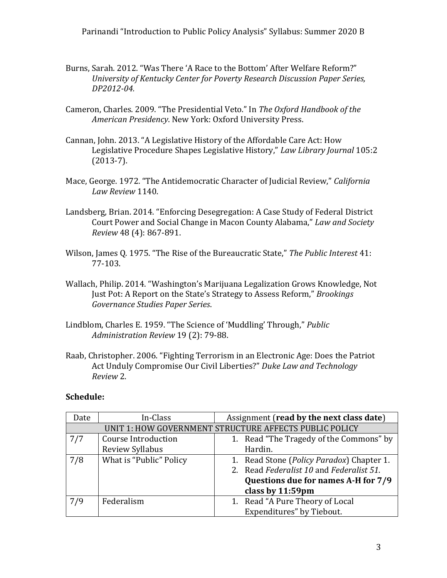- Burns, Sarah. 2012. "Was There 'A Race to the Bottom' After Welfare Reform?" *University of Kentucky Center for Poverty Research Discussion Paper Series, DP2012-04.*
- Cameron, Charles. 2009. "The Presidential Veto." In *The Oxford Handbook of the American Presidency*. New York: Oxford University Press.
- Cannan, John. 2013. "A Legislative History of the Affordable Care Act: How Legislative Procedure Shapes Legislative History," *Law Library Journal* 105:2 (2013-7).
- Mace, George. 1972. "The Antidemocratic Character of Judicial Review," *California Law Review* 1140.
- Landsberg, Brian. 2014. "Enforcing Desegregation: A Case Study of Federal District Court Power and Social Change in Macon County Alabama," *Law and Society Review* 48 (4): 867-891.
- Wilson, James Q. 1975. "The Rise of the Bureaucratic State," *The Public Interest* 41: 77-103.
- Wallach, Philip. 2014. "Washington's Marijuana Legalization Grows Knowledge, Not Just Pot: A Report on the State's Strategy to Assess Reform," *Brookings Governance Studies Paper Series*.
- Lindblom, Charles E. 1959. "The Science of 'Muddling' Through," *Public Administration Review* 19 (2): 79-88.
- Raab, Christopher. 2006. "Fighting Terrorism in an Electronic Age: Does the Patriot Act Unduly Compromise Our Civil Liberties?" *Duke Law and Technology Review* 2.

# **Schedule:**

| Date                                                   | In-Class                   | Assignment (read by the next class date) |                                           |  |  |
|--------------------------------------------------------|----------------------------|------------------------------------------|-------------------------------------------|--|--|
| UNIT 1: HOW GOVERNMENT STRUCTURE AFFECTS PUBLIC POLICY |                            |                                          |                                           |  |  |
| 7/7                                                    | <b>Course Introduction</b> |                                          | 1. Read "The Tragedy of the Commons" by   |  |  |
|                                                        | Review Syllabus            |                                          | Hardin.                                   |  |  |
| 7/8                                                    | What is "Public" Policy    |                                          | 1. Read Stone (Policy Paradox) Chapter 1. |  |  |
|                                                        |                            |                                          | 2. Read Federalist 10 and Federalist 51.  |  |  |
|                                                        |                            |                                          | Questions due for names A-H for 7/9       |  |  |
|                                                        |                            |                                          | class by 11:59pm                          |  |  |
| 7/9                                                    | Federalism                 |                                          | 1. Read "A Pure Theory of Local           |  |  |
|                                                        |                            |                                          | Expenditures" by Tiebout.                 |  |  |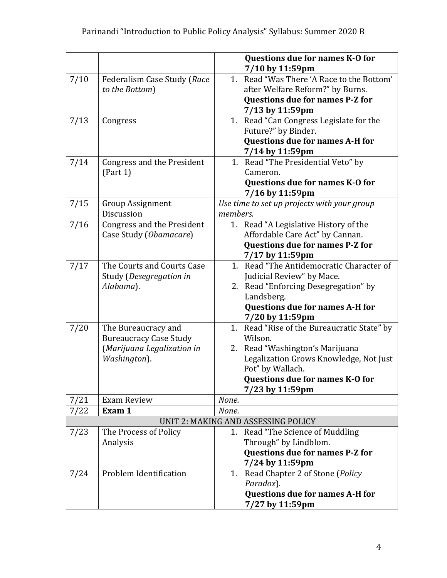|                                     |                                            |          | Questions due for names K-O for<br>7/10 by 11:59pm         |  |
|-------------------------------------|--------------------------------------------|----------|------------------------------------------------------------|--|
| 7/10                                | Federalism Case Study (Race                |          | 1. Read "Was There 'A Race to the Bottom'                  |  |
|                                     | to the Bottom)                             |          | after Welfare Reform?" by Burns.                           |  |
|                                     |                                            |          | <b>Questions due for names P-Z for</b>                     |  |
|                                     |                                            |          | 7/13 by 11:59pm                                            |  |
| 7/13                                | Congress                                   |          | 1. Read "Can Congress Legislate for the                    |  |
|                                     |                                            |          | Future?" by Binder.                                        |  |
|                                     |                                            |          | <b>Questions due for names A-H for</b>                     |  |
|                                     |                                            |          | 7/14 by 11:59pm                                            |  |
| 7/14                                | Congress and the President                 |          | 1. Read "The Presidential Veto" by<br>Cameron.             |  |
|                                     | (Part 1)                                   |          | Questions due for names K-O for                            |  |
|                                     |                                            |          | 7/16 by 11:59pm                                            |  |
| 7/15                                | <b>Group Assignment</b>                    |          | Use time to set up projects with your group                |  |
|                                     | Discussion                                 | members. |                                                            |  |
| 7/16                                | <b>Congress and the President</b>          |          | 1. Read "A Legislative History of the                      |  |
|                                     | Case Study (Obamacare)                     |          | Affordable Care Act" by Cannan.                            |  |
|                                     |                                            |          | Questions due for names P-Z for                            |  |
|                                     |                                            |          | 7/17 by 11:59pm                                            |  |
| 7/17                                | The Courts and Courts Case                 |          | 1. Read "The Antidemocratic Character of                   |  |
|                                     | Study (Desegregation in                    |          | Judicial Review" by Mace.                                  |  |
|                                     | Alabama).                                  |          | 2. Read "Enforcing Desegregation" by                       |  |
|                                     |                                            |          | Landsberg.                                                 |  |
|                                     |                                            |          | <b>Questions due for names A-H for</b>                     |  |
|                                     |                                            |          | 7/20 by 11:59pm                                            |  |
| 7/20                                | The Bureaucracy and                        | 1.       | Read "Rise of the Bureaucratic State" by                   |  |
|                                     | <b>Bureaucracy Case Study</b>              |          | Wilson.                                                    |  |
|                                     | (Marijuana Legalization in<br>Washington). |          | 2. Read "Washington's Marijuana                            |  |
|                                     |                                            |          | Legalization Grows Knowledge, Not Just<br>Pot" by Wallach. |  |
|                                     |                                            |          | Questions due for names K-O for                            |  |
|                                     |                                            |          | 7/23 by 11:59pm                                            |  |
| 7/21                                | <b>Exam Review</b>                         | None.    |                                                            |  |
| 7/22                                | Exam 1                                     | None.    |                                                            |  |
| UNIT 2: MAKING AND ASSESSING POLICY |                                            |          |                                                            |  |
| 7/23                                | The Process of Policy                      |          | 1. Read "The Science of Muddling                           |  |
|                                     | Analysis                                   |          | Through" by Lindblom.                                      |  |
|                                     |                                            |          | Questions due for names P-Z for                            |  |
|                                     |                                            |          | 7/24 by 11:59pm                                            |  |
| 7/24                                | Problem Identification                     | 1.       | Read Chapter 2 of Stone (Policy                            |  |
|                                     |                                            |          | Paradox).                                                  |  |
|                                     |                                            |          | <b>Questions due for names A-H for</b>                     |  |
|                                     |                                            |          | 7/27 by 11:59pm                                            |  |